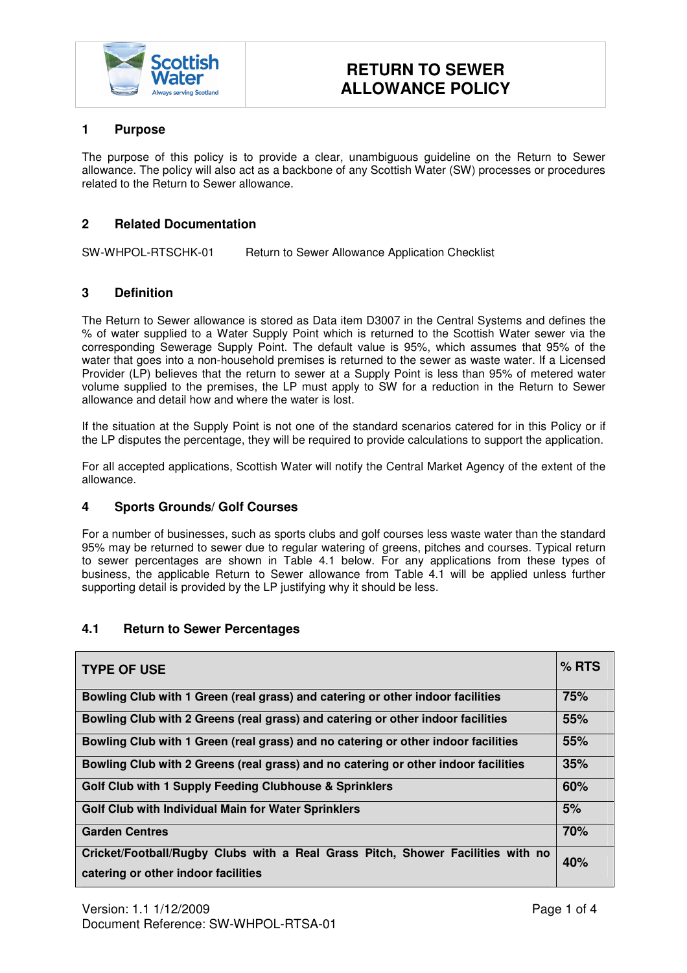

## **1 Purpose**

The purpose of this policy is to provide a clear, unambiguous guideline on the Return to Sewer allowance. The policy will also act as a backbone of any Scottish Water (SW) processes or procedures related to the Return to Sewer allowance.

## **2 Related Documentation**

SW-WHPOL-RTSCHK-01 Return to Sewer Allowance Application Checklist

## **3 Definition**

The Return to Sewer allowance is stored as Data item D3007 in the Central Systems and defines the % of water supplied to a Water Supply Point which is returned to the Scottish Water sewer via the corresponding Sewerage Supply Point. The default value is 95%, which assumes that 95% of the water that goes into a non-household premises is returned to the sewer as waste water. If a Licensed Provider (LP) believes that the return to sewer at a Supply Point is less than 95% of metered water volume supplied to the premises, the LP must apply to SW for a reduction in the Return to Sewer allowance and detail how and where the water is lost.

If the situation at the Supply Point is not one of the standard scenarios catered for in this Policy or if the LP disputes the percentage, they will be required to provide calculations to support the application.

For all accepted applications, Scottish Water will notify the Central Market Agency of the extent of the allowance.

## **4 Sports Grounds/ Golf Courses**

For a number of businesses, such as sports clubs and golf courses less waste water than the standard 95% may be returned to sewer due to regular watering of greens, pitches and courses. Typical return to sewer percentages are shown in Table 4.1 below. For any applications from these types of business, the applicable Return to Sewer allowance from Table 4.1 will be applied unless further supporting detail is provided by the LP justifying why it should be less.

# **4.1 Return to Sewer Percentages**

| <b>TYPE OF USE</b>                                                                 | $%$ RTS |  |
|------------------------------------------------------------------------------------|---------|--|
| Bowling Club with 1 Green (real grass) and catering or other indoor facilities     | 75%     |  |
| Bowling Club with 2 Greens (real grass) and catering or other indoor facilities    | 55%     |  |
| Bowling Club with 1 Green (real grass) and no catering or other indoor facilities  | 55%     |  |
| Bowling Club with 2 Greens (real grass) and no catering or other indoor facilities | 35%     |  |
| Golf Club with 1 Supply Feeding Clubhouse & Sprinklers                             | 60%     |  |
| Golf Club with Individual Main for Water Sprinklers                                | 5%      |  |
| <b>Garden Centres</b>                                                              | 70%     |  |
| Cricket/Football/Rugby Clubs with a Real Grass Pitch, Shower Facilities with no    | 40%     |  |
| catering or other indoor facilities                                                |         |  |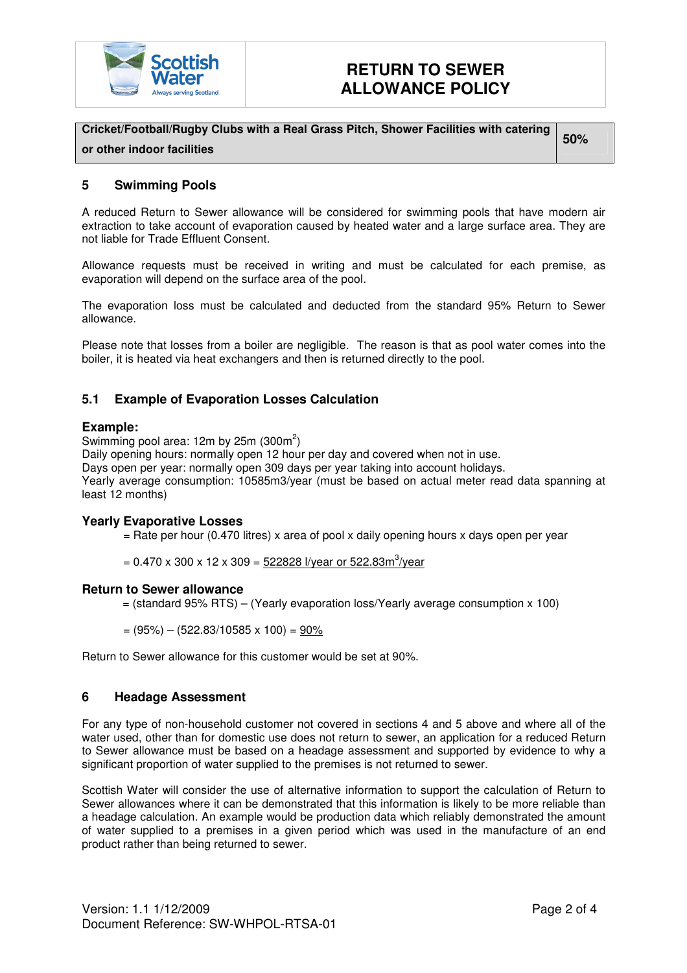

# **RETURN TO SEWER ALLOWANCE POLICY**

**Cricket/Football/Rugby Clubs with a Real Grass Pitch, Shower Facilities with catering or other indoor facilities** 

**50%** 

# **5 Swimming Pools**

A reduced Return to Sewer allowance will be considered for swimming pools that have modern air extraction to take account of evaporation caused by heated water and a large surface area. They are not liable for Trade Effluent Consent.

Allowance requests must be received in writing and must be calculated for each premise, as evaporation will depend on the surface area of the pool.

The evaporation loss must be calculated and deducted from the standard 95% Return to Sewer allowance.

Please note that losses from a boiler are negligible. The reason is that as pool water comes into the boiler, it is heated via heat exchangers and then is returned directly to the pool.

# **5.1 Example of Evaporation Losses Calculation**

## **Example:**

Swimming pool area: 12m by 25m  $(300m^2)$ 

Daily opening hours: normally open 12 hour per day and covered when not in use.

Days open per year: normally open 309 days per year taking into account holidays.

Yearly average consumption: 10585m3/year (must be based on actual meter read data spanning at least 12 months)

## **Yearly Evaporative Losses**

 $=$  Rate per hour (0.470 litres) x area of pool x daily opening hours x days open per year

= 0.470 x 300 x 12 x 309 = <u>522828 l/year or 522.83m<sup>3</sup>/year</u>

#### **Return to Sewer allowance**

- $=$  (standard 95% RTS) (Yearly evaporation loss/Yearly average consumption  $\times$  100)
- $= (95\%) (522.83/10585 \times 100) = 90\%$

Return to Sewer allowance for this customer would be set at 90%.

## **6 Headage Assessment**

For any type of non-household customer not covered in sections 4 and 5 above and where all of the water used, other than for domestic use does not return to sewer, an application for a reduced Return to Sewer allowance must be based on a headage assessment and supported by evidence to why a significant proportion of water supplied to the premises is not returned to sewer.

Scottish Water will consider the use of alternative information to support the calculation of Return to Sewer allowances where it can be demonstrated that this information is likely to be more reliable than a headage calculation. An example would be production data which reliably demonstrated the amount of water supplied to a premises in a given period which was used in the manufacture of an end product rather than being returned to sewer.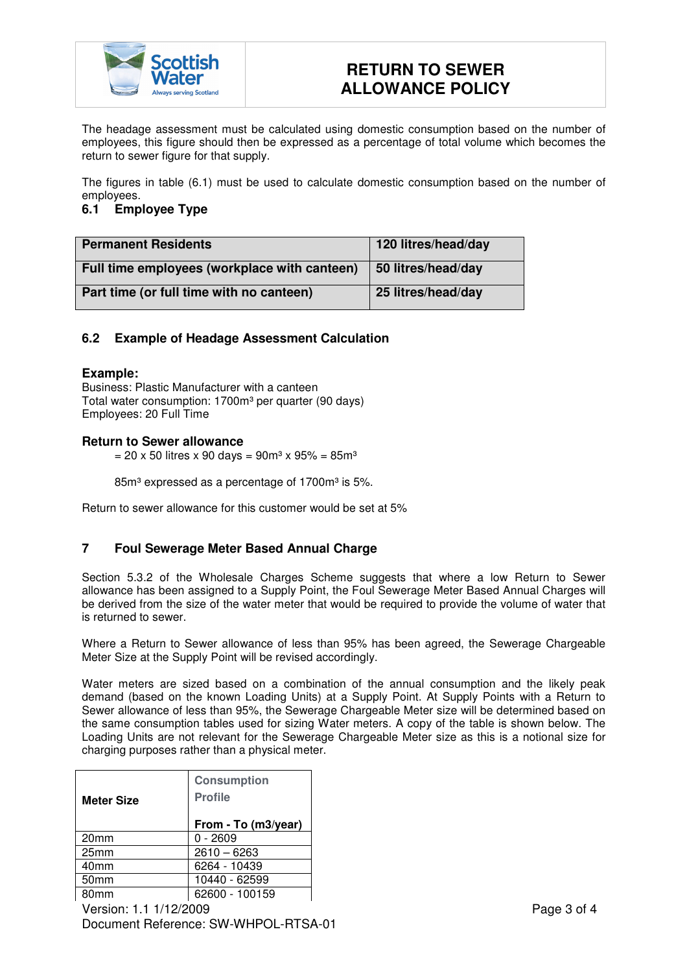

# **RETURN TO SEWER ALLOWANCE POLICY**

The headage assessment must be calculated using domestic consumption based on the number of employees, this figure should then be expressed as a percentage of total volume which becomes the return to sewer figure for that supply.

The figures in table (6.1) must be used to calculate domestic consumption based on the number of employees.

# **6.1 Employee Type**

| <b>Permanent Residents</b>                   | 120 litres/head/day |
|----------------------------------------------|---------------------|
| Full time employees (workplace with canteen) | 50 litres/head/day  |
| Part time (or full time with no canteen)     | 25 litres/head/day  |

# **6.2 Example of Headage Assessment Calculation**

## **Example:**

Business: Plastic Manufacturer with a canteen Total water consumption: 1700m<sup>3</sup> per quarter (90 days) Employees: 20 Full Time

## **Return to Sewer allowance**

 $= 20 \times 50$  litres x 90 days = 90m<sup>3</sup> x 95% = 85m<sup>3</sup>

 $85m<sup>3</sup>$  expressed as a percentage of 1700 $m<sup>3</sup>$  is 5%.

Return to sewer allowance for this customer would be set at 5%

# **7 Foul Sewerage Meter Based Annual Charge**

Section 5.3.2 of the Wholesale Charges Scheme suggests that where a low Return to Sewer allowance has been assigned to a Supply Point, the Foul Sewerage Meter Based Annual Charges will be derived from the size of the water meter that would be required to provide the volume of water that is returned to sewer.

Where a Return to Sewer allowance of less than 95% has been agreed, the Sewerage Chargeable Meter Size at the Supply Point will be revised accordingly.

Water meters are sized based on a combination of the annual consumption and the likely peak demand (based on the known Loading Units) at a Supply Point. At Supply Points with a Return to Sewer allowance of less than 95%, the Sewerage Chargeable Meter size will be determined based on the same consumption tables used for sizing Water meters. A copy of the table is shown below. The Loading Units are not relevant for the Sewerage Chargeable Meter size as this is a notional size for charging purposes rather than a physical meter.

| <b>Meter Size</b> | <b>Consumption</b><br><b>Profile</b> |
|-------------------|--------------------------------------|
|                   | From - To (m3/year)                  |
| 20 <sub>mm</sub>  | $0 - 2609$                           |
| 25mm              | $2610 - 6263$                        |
| 40 <sub>mm</sub>  | 6264 - 10439                         |
| 50 <sub>mm</sub>  | 10440 - 62599                        |
| 80mm              | 62600 - 100159                       |
|                   |                                      |